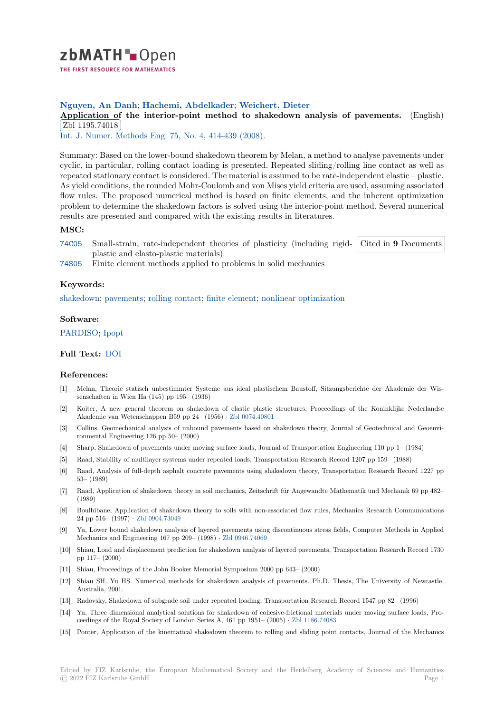

# **Nguyen, An Danh**; **Hachemi, Abdelkader**; **Weichert, Dieter**

[A](https://zbmath.org/)pplication of the interior-point method to shakedown analysis of pavements. (English) Zbl 1195.74018

<u>EBI 1155.14010</u><br>Int. J. Numer. Methods Eng. 75, No. 4, 414-439 (2008).

[Summary: Based on the lower-bound shakedown theorem by Melan, a method to analyse pavem](https://zbmath.org/1195.74018)ents under [cyclic, in particula](https://zbmath.org/1195.74018)r, rolling contact loading is presented. Repeated sliding/rolling line contact as well as [repeated stationary contact is](https://zbmath.org/journals/?q=se:462) [considered. The material i](https://zbmath.org/?q=in:222998)s assumed to be rate-independent elastic – plastic. As yield conditions, the rounded Mohr-Coulomb and von Mises yield criteria are used, assuming associated flow rules. The proposed numerical method is based on finite elements, and the inherent optimization problem to determine the shakedown factors is solved using the interior-point method. Several numerical results are presented and compared with the existing results in literatures.

## **MSC:**

- 74C05 Small-strain, rate-independent theories of plasticity (including rigidplastic and elasto-plastic materials) Cited in **9** Documents
- 74S05 Finite element methods applied to problems in solid mechanics

## **[Keyw](https://zbmath.org/classification/?q=cc:74C05)ords:**

[shaked](https://zbmath.org/classification/?q=cc:74S05)own; pavements; rolling contact; finite element; nonlinear optimization

### **Software:**

[PARDISO;](https://zbmath.org/?q=ut:shakedown) [Ipopt](https://zbmath.org/?q=ut:pavements)

### **Full Text:** DOI

#### **[Reference](https://swmath.org/software/679)[s:](https://swmath.org/software/4808)**

- [1] Melan, Theorie statisch unbestimmter Systeme aus ideal plastischem Baustoff, Sitzungsberichte der Akademie der Wissenschaft[en in W](https://dx.doi.org/10.1002/nme.2256)ien IIa (145) pp 195– (1936)
- [2] Koiter, A new general theorem on shakedown of elastic–plastic structures, Proceedings of the Koninklijke Nederlandse Akademie van Wetenschappen B59 pp 24– (1956) *·* Zbl 0074.40801
- [3] Collins, Geomechanical analysis of unbound pavements based on shakedown theory, Journal of Geotechnical and Geoenvironmental Engineering 126 pp 50– (2000)
- [4] Sharp, Shakedown of pavements under moving surface loads, Journal of Transportation Engineering 110 pp 1– (1984)
- [5] Raad, Stability of multilayer systems under repeate[d loads, Transp](https://zbmath.org/0074.40801)ortation Research Record 1207 pp 159– (1988)
- [6] Raad, Analysis of full-depth asphalt concrete pavements using shakedown theory, Transportation Research Record 1227 pp 53– (1989)
- [7] Raad, Application of shakedown theory in soil mechanics, Zeitschrift für Angewandte Mathematik und Mechanik 69 pp 482– (1989)
- [8] Boulbibane, Application of shakedown theory to soils with non-associated flow rules, Mechanics Research Communications 24 pp 516– (1997) *·* Zbl 0904.73049
- [9] Yu, Lower bound shakedown analysis of layered pavements using discontinuous stress fields, Computer Methods in Applied Mechanics and Engineering 167 pp 209– (1998) *·* Zbl 0946.74069
- [10] Shiau, Load and displacement prediction for shakedown analysis of layered pavements, Transportation Research Record 1730 pp 117– (2000)
- [11] Shiau, Proceedings of the John Booker Memorial Symposium 2000 pp 643– (2000)
- [12] Shiau SH, Yu HS. Numerical methods for shak[edown analysis](https://zbmath.org/0946.74069) of pavements. Ph.D. Thesis, The University of Newcastle, Australia, 2001.
- [13] Radovsky, Shakedown of subgrade soil under repeated loading, Transportation Research Record 1547 pp 82– (1996)
- [14] Yu, Three dimensional analytical solutions for shakedown of cohesive-frictional materials under moving surface loads, Proceedings of the Royal Society of London Series A, 461 pp 1951– (2005) *·* Zbl 1186.74083
- [15] Ponter, Application of the kinematical shakedown theorem to rolling and sliding point contacts, Journal of the Mechanics